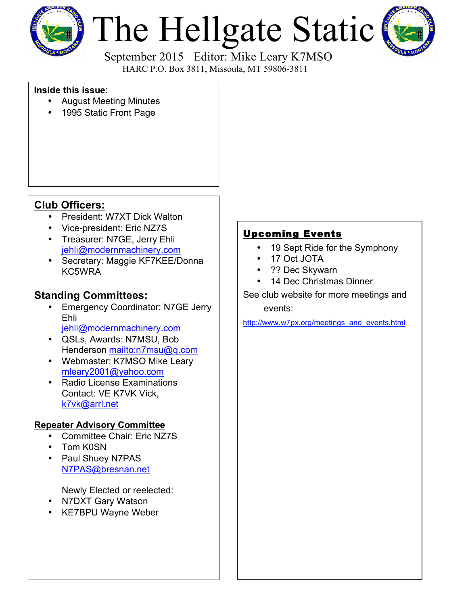

# The Hellgate Static



 September 2015 Editor: Mike Leary K7MSO HARC P.O. Box 3811, Missoula, MT 59806-3811

### **Inside this issue**:

- August Meeting Minutes
- 1995 Static Front Page

# **Club Officers:**

- President: W7XT Dick Walton
- Vice-president: Eric NZ7S
- Treasurer: N7GE, Jerry Ehli [jehli@modernmachinery.com](mailto:jehli@modernmachinery.com?subject=Hellgate Amateur Radio Club Info)
- Secretary: Maggie KF7KEE/Donna KC5WRA

# **Standing Committees:**

- Emergency Coordinator: N7GE Jerry Ehli
	- [jehli@modernmachinery.com](mailto:jehli@modernmachinery.com?subject=Hellgate Amateur Radio Club Info)
- QSLs, Awards: N7MSU, Bob Henderson <mailto:n7msu@q.com>
- Webmaster: K7MSO Mike Leary [mleary2001@yahoo.com](mailto:mleary2001@yahoo.com?subject=Hellgate Amateur Radio Club Web Site Info)
- Radio License Examinations Contact: VE K7VK Vick, [k7vk@arrl.net](mailto:k7vk@arrl.net?subject=Hellgate Amateur Radio Club License Exams)

## **Repeater Advisory Committee**

- Committee Chair: Eric NZ7S
- Tom K0SN
- Paul Shuey N7PAS N7PAS@bresnan.net

Newly Elected or reelected:

- N7DXT Gary Watson
- KE7BPU Wayne Weber

## Upcoming Events

- 19 Sept Ride for the Symphony
- 17 Oct JOTA
- ?? Dec Skywarn
- 14 Dec Christmas Dinner

## See club website for more meetings and events:

[http://www.w7px.org/meetings\\_and\\_events.html](http://www.w7px.org/meetings_and_events.html)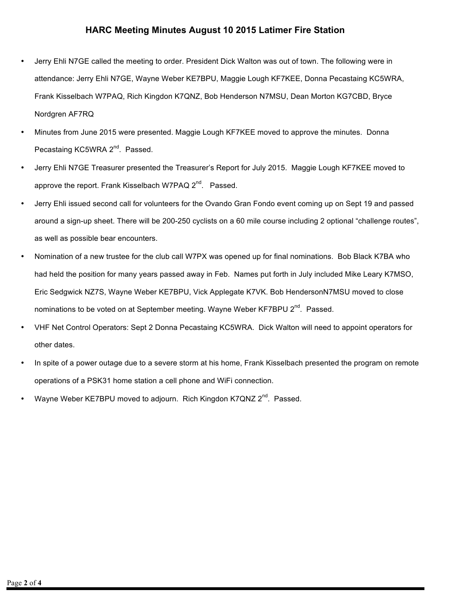#### **HARC Meeting Minutes August 10 2015 Latimer Fire Station**

- Jerry Ehli N7GE called the meeting to order. President Dick Walton was out of town. The following were in attendance: Jerry Ehli N7GE, Wayne Weber KE7BPU, Maggie Lough KF7KEE, Donna Pecastaing KC5WRA, Frank Kisselbach W7PAQ, Rich Kingdon K7QNZ, Bob Henderson N7MSU, Dean Morton KG7CBD, Bryce Nordgren AF7RQ
- Minutes from June 2015 were presented. Maggie Lough KF7KEE moved to approve the minutes. Donna Pecastaing KC5WRA 2<sup>nd</sup>. Passed.
- Jerry Ehli N7GE Treasurer presented the Treasurer's Report for July 2015. Maggie Lough KF7KEE moved to approve the report. Frank Kisselbach W7PAQ 2<sup>nd</sup>. Passed.
- Jerry Ehli issued second call for volunteers for the Ovando Gran Fondo event coming up on Sept 19 and passed around a sign-up sheet. There will be 200-250 cyclists on a 60 mile course including 2 optional "challenge routes", as well as possible bear encounters.
- Nomination of a new trustee for the club call W7PX was opened up for final nominations. Bob Black K7BA who had held the position for many years passed away in Feb. Names put forth in July included Mike Leary K7MSO, Eric Sedgwick NZ7S, Wayne Weber KE7BPU, Vick Applegate K7VK. Bob HendersonN7MSU moved to close nominations to be voted on at September meeting. Wayne Weber KF7BPU  $2^{nd}$ . Passed.
- VHF Net Control Operators: Sept 2 Donna Pecastaing KC5WRA. Dick Walton will need to appoint operators for other dates.
- In spite of a power outage due to a severe storm at his home, Frank Kisselbach presented the program on remote operations of a PSK31 home station a cell phone and WiFi connection.
- Wayne Weber KE7BPU moved to adjourn. Rich Kingdon K7QNZ 2<sup>nd</sup>. Passed.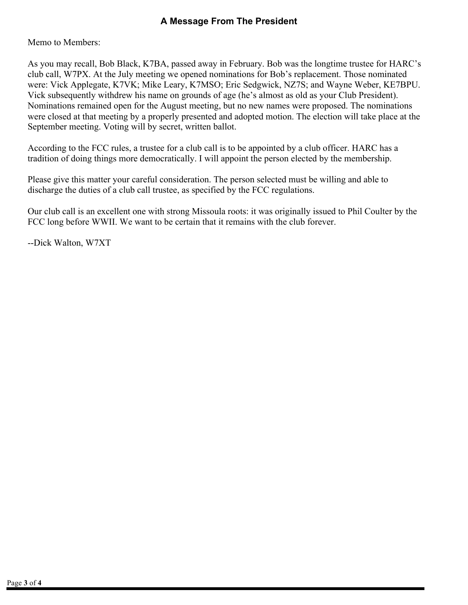## **A Message From The President**

Memo to Members:

As you may recall, Bob Black, K7BA, passed away in February. Bob was the longtime trustee for HARC's club call, W7PX. At the July meeting we opened nominations for Bob's replacement. Those nominated were: Vick Applegate, K7VK; Mike Leary, K7MSO; Eric Sedgwick, NZ7S; and Wayne Weber, KE7BPU. Vick subsequently withdrew his name on grounds of age (he's almost as old as your Club President). Nominations remained open for the August meeting, but no new names were proposed. The nominations were closed at that meeting by a properly presented and adopted motion. The election will take place at the September meeting. Voting will by secret, written ballot.

According to the FCC rules, a trustee for a club call is to be appointed by a club officer. HARC has a tradition of doing things more democratically. I will appoint the person elected by the membership.

Please give this matter your careful consideration. The person selected must be willing and able to discharge the duties of a club call trustee, as specified by the FCC regulations.

Our club call is an excellent one with strong Missoula roots: it was originally issued to Phil Coulter by the FCC long before WWII. We want to be certain that it remains with the club forever.

--Dick Walton, W7XT